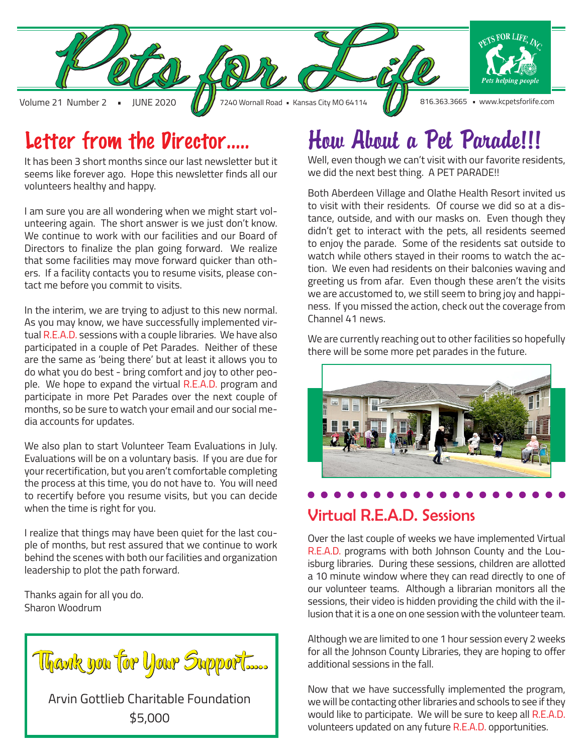

### Letter from the Director…..

It has been 3 short months since our last newsletter but it seems like forever ago. Hope this newsletter finds all our volunteers healthy and happy.

I am sure you are all wondering when we might start volunteering again. The short answer is we just don't know. We continue to work with our facilities and our Board of Directors to finalize the plan going forward. We realize that some facilities may move forward quicker than others. If a facility contacts you to resume visits, please contact me before you commit to visits.

In the interim, we are trying to adjust to this new normal. As you may know, we have successfully implemented virtual R.E.A.D. sessions with a couple libraries. We have also participated in a couple of Pet Parades. Neither of these are the same as 'being there' but at least it allows you to do what you do best - bring comfort and joy to other people. We hope to expand the virtual R.E.A.D. program and participate in more Pet Parades over the next couple of months, so be sure to watch your email and our social media accounts for updates.

We also plan to start Volunteer Team Evaluations in July. Evaluations will be on a voluntary basis. If you are due for your recertification, but you aren't comfortable completing the process at this time, you do not have to. You will need to recertify before you resume visits, but you can decide when the time is right for you.

I realize that things may have been quiet for the last couple of months, but rest assured that we continue to work behind the scenes with both our facilities and organization leadership to plot the path forward.

Thanks again for all you do. Sharon Woodrum



## How About a Pet Parade!!!

Well, even though we can't visit with our favorite residents, we did the next best thing. A PET PARADE!!

Both Aberdeen Village and Olathe Health Resort invited us to visit with their residents. Of course we did so at a distance, outside, and with our masks on. Even though they didn't get to interact with the pets, all residents seemed to enjoy the parade. Some of the residents sat outside to watch while others stayed in their rooms to watch the action. We even had residents on their balconies waving and greeting us from afar. Even though these aren't the visits we are accustomed to, we still seem to bring joy and happiness. If you missed the action, check out the coverage from Channel 41 news.

We are currently reaching out to other facilities so hopefully there will be some more pet parades in the future.



#### Virtual R.E.A.D. Sessions

Over the last couple of weeks we have implemented Virtual R.E.A.D. programs with both Johnson County and the Louisburg libraries. During these sessions, children are allotted a 10 minute window where they can read directly to one of our volunteer teams. Although a librarian monitors all the sessions, their video is hidden providing the child with the illusion that it is a one on one session with the volunteer team.

Although we are limited to one 1 hour session every 2 weeks for all the Johnson County Libraries, they are hoping to offer additional sessions in the fall.

Now that we have successfully implemented the program, we will be contacting other libraries and schools to see if they would like to participate. We will be sure to keep all R.E.A.D. volunteers updated on any future R.E.A.D. opportunities.